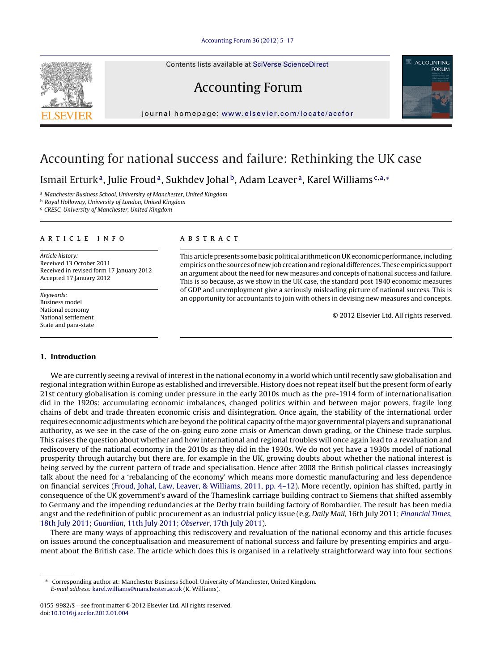Contents lists available at SciVerse [ScienceDirect](http://www.sciencedirect.com/science/journal/01559982)

# Accounting Forum



jour nal homepage: [www.elsevier.com/locate/accfor](http://www.elsevier.com/locate/accfor)

## Accounting for national success and failure: Rethinking the UK case

Ismail Erturk<sup>a</sup>, Julie Froud<sup>a</sup>, Sukhdev Johal<sup>b</sup>, Adam Leaver<sup>a</sup>, Karel Williams<sup>c,a,∗</sup>

a Manchester Business School, University of Manchester, United Kingdom

<sup>b</sup> Royal Holloway, University of London, United Kingdom

<sup>c</sup> CRESC, University of Manchester, United Kingdom

#### ARTICLE INFO

Article history: Received 13 October 2011 Received in revised form 17 January 2012 Accepted 17 January 2012

Keywords: Business model National economy National settlement State and para-state

### A B S T R A C T

This article presents some basic political arithmetic on UKeconomic performance, including empirics onthe sources ofnew job creationand regional differences. These empirics support an argument about the need for new measures and concepts of national success and failure. This is so because, as we show in the UK case, the standard post 1940 economic measures of GDP and unemployment give a seriously misleading picture of national success. This is an opportunity for accountants to join with others in devising new measures and concepts.

© 2012 Elsevier Ltd. All rights reserved.

### **1. Introduction**

We are currently seeing a revival of interest in the national economy in a world which until recently saw globalisation and regional integration within Europe as established and irreversible. History does not repeat itself but the present form of early 21st century globalisation is coming under pressure in the early 2010s much as the pre-1914 form of internationalisation did in the 1920s: accumulating economic imbalances, changed politics within and between major powers, fragile long chains of debt and trade threaten economic crisis and disintegration. Once again, the stability of the international order requires economic adjustments which are beyond the political capacity ofthe major governmental players and supranational authority, as we see in the case of the on-going euro zone crisis or American down grading, or the Chinese trade surplus. This raises the question about whether and how international and regional troubles will once again lead to a revaluation and rediscovery of the national economy in the 2010s as they did in the 1930s. We do not yet have a 1930s model of national prosperity through autarchy but there are, for example in the UK, growing doubts about whether the national interest is being served by the current pattern of trade and specialisation. Hence after 2008 the British political classes increasingly talk about the need for a 'rebalancing of the economy' which means more domestic manufacturing and less dependence on financial services ([Froud,](#page--1-0) [Johal,](#page--1-0) [Law,](#page--1-0) [Leaver,](#page--1-0) [&](#page--1-0) [Williams,](#page--1-0) [2011,](#page--1-0) [pp.](#page--1-0) [4–12\).](#page--1-0) More recently, opinion has shifted, partly in consequence of the UK government's award of the Thameslink carriage building contract to Siemens that shifted assembly to Germany and the impending redundancies at the Derby train building factory of Bombardier. The result has been media angst and the redefinition of public procurement as an industrial policy issue (e.g. Daily Mail, 16th July 2011; [Financial](#page--1-0) [Times](#page--1-0), [18th](#page--1-0) [July](#page--1-0) [2011;](#page--1-0) [Guardian](#page--1-0), [11th](#page--1-0) [July](#page--1-0) [2011;](#page--1-0) [Observer](#page--1-0), [17th](#page--1-0) [July](#page--1-0) [2011\).](#page--1-0)

There are many ways of approaching this rediscovery and revaluation of the national economy and this article focuses on issues around the conceptualisation and measurement of national success and failure by presenting empirics and argument about the British case. The article which does this is organised in a relatively straightforward way into four sections



<sup>∗</sup> Corresponding author at: Manchester Business School, University of Manchester, United Kingdom. E-mail address: [karel.williams@manchester.ac.uk](mailto:karel.williams@manchester.ac.uk) (K. Williams).

<sup>0155-9982/\$</sup> – see front matter © 2012 Elsevier Ltd. All rights reserved. doi:[10.1016/j.accfor.2012.01.004](dx.doi.org/10.1016/j.accfor.2012.01.004)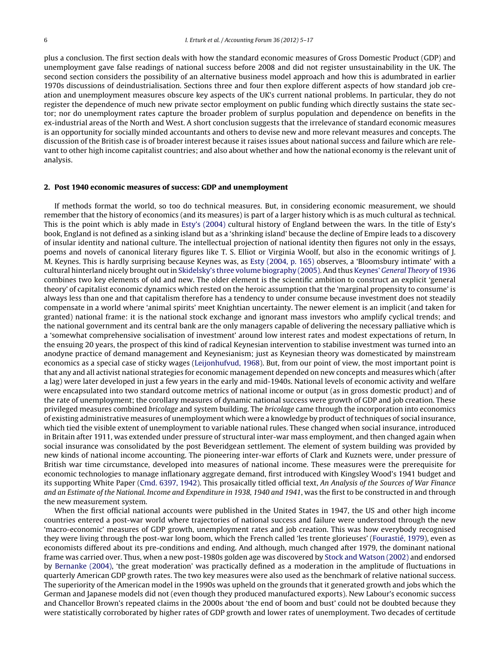plus a conclusion. The first section deals with how the standard economic measures of Gross Domestic Product (GDP) and unemployment gave false readings of national success before 2008 and did not register unsustainability in the UK. The second section considers the possibility of an alternative business model approach and how this is adumbrated in earlier 1970s discussions of deindustrialisation. Sections three and four then explore different aspects of how standard job creation and unemployment measures obscure key aspects of the UK's current national problems. In particular, they do not register the dependence of much new private sector employment on public funding which directly sustains the state sector; nor do unemployment rates capture the broader problem of surplus population and dependence on benefits in the ex-industrial areas of the North and West. A short conclusion suggests that the irrelevance of standard economic measures is an opportunity for socially minded accountants and others to devise new and more relevant measures and concepts. The discussion of the British case is of broader interest because it raises issues about national success and failure which are relevant to other high income capitalist countries; and also about whether and how the national economy is the relevant unit of analysis.

#### **2. Post 1940 economic measures of success: GDP and unemployment**

If methods format the world, so too do technical measures. But, in considering economic measurement, we should remember that the history of economics (and its measures) is part of a larger history which is as much cultural as technical. This is the point which is ably made in [Esty's](#page--1-0) [\(2004\)](#page--1-0) cultural history of England between the wars. In the title of Esty's book, England is not defined as a sinking island but as a 'shrinking island' because the decline of Empire leads to a discovery of insular identity and national culture. The intellectual projection of national identity then figures not only in the essays, poems and novels of canonical literary figures like T. S. Elliot or Virginia Woolf, but also in the economic writings of J. M. Keynes. This is hardly surprising because Keynes was, as [Esty](#page--1-0) [\(2004,](#page--1-0) [p.](#page--1-0) [165\)](#page--1-0) observes, a 'Bloomsbury intimate' with a cultural hinterland nicely brought out in [Skidelsky's](#page--1-0) [three](#page--1-0) [volume](#page--1-0) [biography](#page--1-0) [\(2005\).](#page--1-0) And thus [Keynes'](#page--1-0) [General](#page--1-0) [Theory](#page--1-0) [of](#page--1-0) [1936](#page--1-0) combines two key elements of old and new. The older element is the scientific ambition to construct an explicit 'general theory' of capitalist economic dynamics which rested on the heroic assumption that the 'marginal propensity to consume' is always less than one and that capitalism therefore has a tendency to under consume because investment does not steadily compensate in a world where 'animal spirits' meet Knightian uncertainty. The newer element is an implicit (and taken for granted) national frame: it is the national stock exchange and ignorant mass investors who amplify cyclical trends; and the national government and its central bank are the only managers capable of delivering the necessary palliative which is a 'somewhat comprehensive socialisation of investment' around low interest rates and modest expectations of return, In the ensuing 20 years, the prospect of this kind of radical Keynesian intervention to stabilise investment was turned into an anodyne practice of demand management and Keynesianism; just as Keynesian theory was domesticated by mainstream economics as a special case of sticky wages ([Leijonhufvud,](#page--1-0) [1968\).](#page--1-0) But, from our point of view, the most important point is that any and all activist national strategies for economic management depended on new concepts and measures which (after a lag) were later developed in just a few years in the early and mid-1940s. National levels of economic activity and welfare were encapsulated into two standard outcome metrics of national income or output (as in gross domestic product) and of the rate of unemployment; the corollary measures of dynamic national success were growth of GDP and job creation. These privileged measures combined bricolage and system building. The bricolage came through the incorporation into economics of existing administrative measures of unemployment which were a knowledge by product oftechniques of social insurance, which tied the visible extent of unemployment to variable national rules. These changed when social insurance, introduced in Britain after 1911, was extended under pressure of structural inter-war mass employment, and then changed again when social insurance was consolidated by the post Beveridgean settlement. The element of system building was provided by new kinds of national income accounting. The pioneering inter-war efforts of Clark and Kuznets were, under pressure of British war time circumstance, developed into measures of national income. These measures were the prerequisite for economic technologies to manage inflationary aggregate demand, first introduced with Kingsley Wood's 1941 budget and its supporting White Paper [\(Cmd.](#page--1-0) [6397,](#page--1-0) [1942\).](#page--1-0) This prosaically titled official text, An Analysis of the Sources of War Finance and an Estimate of the National. Income and Expenditure in 1938, 1940 and 1941, was the first to be constructed in and through the new measurement system.

When the first official national accounts were published in the United States in 1947, the US and other high income countries entered a post-war world where trajectories of national success and failure were understood through the new 'macro-economic' measures of GDP growth, unemployment rates and job creation. This was how everybody recognised they were living through the post-war long boom, which the French called 'les trente glorieuses' [\(Fourastié,](#page--1-0) [1979\),](#page--1-0) even as economists differed about its pre-conditions and ending. And although, much changed after 1979, the dominant national frame was carried over. Thus, when a new post-1980s golden age was discovered by [Stock](#page--1-0) [and](#page--1-0) [Watson](#page--1-0) [\(2002\)](#page--1-0) and endorsed by [Bernanke](#page--1-0) [\(2004\),](#page--1-0) 'the great moderation' was practically defined as a moderation in the amplitude of fluctuations in quarterly American GDP growth rates. The two key measures were also used as the benchmark of relative national success. The superiority of the American model in the 1990s was upheld on the grounds that it generated growth and jobs which the German and Japanese models did not (even though they produced manufactured exports). New Labour's economic success and Chancellor Brown's repeated claims in the 2000s about 'the end of boom and bust' could not be doubted because they were statistically corroborated by higher rates of GDP growth and lower rates of unemployment. Two decades of certitude